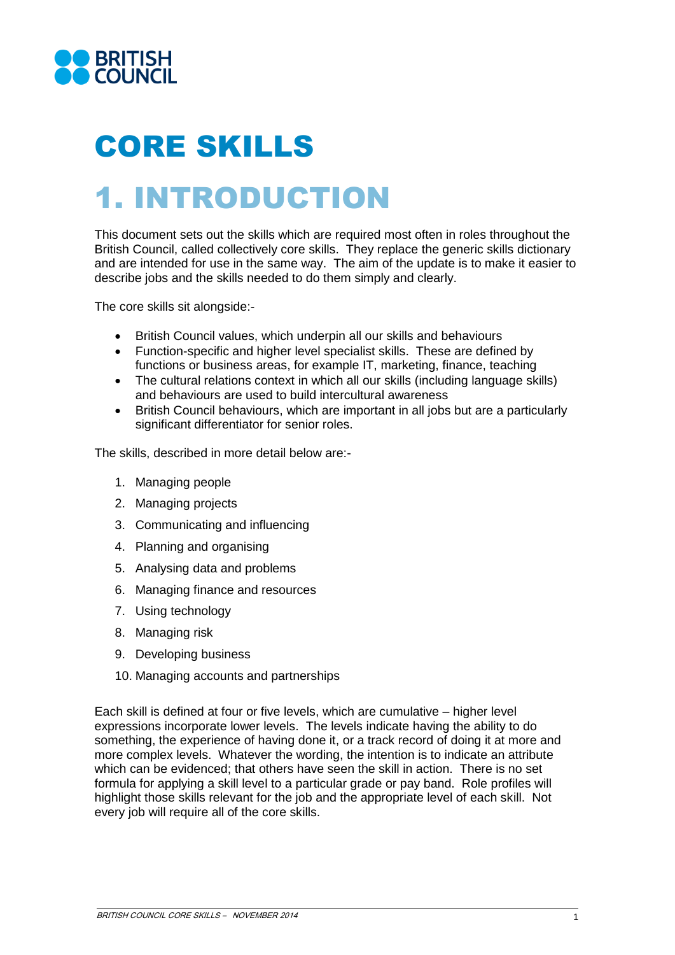

# CORE SKILLS

# 1. INTRODUCTION

This document sets out the skills which are required most often in roles throughout the<br>British Council, called collectively core skills. They replace the generic skills dictionary This document sets out the skills which are required most often in roles throughout the and are intended for use in the same way. The aim of the update is to make it easier to describe jobs and the skills needed to do them simply and clearly.

The core skills sit alongside:-

- British Council values, which underpin all our skills and behaviours
- Function-specific and higher level specialist skills. These are defined by functions or business areas, for example IT, marketing, finance, teaching
- The cultural relations context in which all our skills (including language skills) and behaviours are used to build intercultural awareness
- British Council behaviours, which are important in all jobs but are a particularly significant differentiator for senior roles.

The skills, described in more detail below are:-

- 1. Managing people
- 2. Managing projects
- 3. Communicating and influencing
- 4. Planning and organising
- 5. Analysing data and problems
- 6. Managing finance and resources
- 7. Using technology
- 8. Managing risk
- 9. Developing business
- 10. Managing accounts and partnerships

Each skill is defined at four or five levels, which are cumulative – higher level expressions incorporate lower levels. The levels indicate having the ability to do something, the experience of having done it, or a track record of doing it at more and more complex levels. Whatever the wording, the intention is to indicate an attribute which can be evidenced; that others have seen the skill in action. There is no set formula for applying a skill level to a particular grade or pay band. Role profiles will highlight those skills relevant for the job and the appropriate level of each skill. Not every job will require all of the core skills.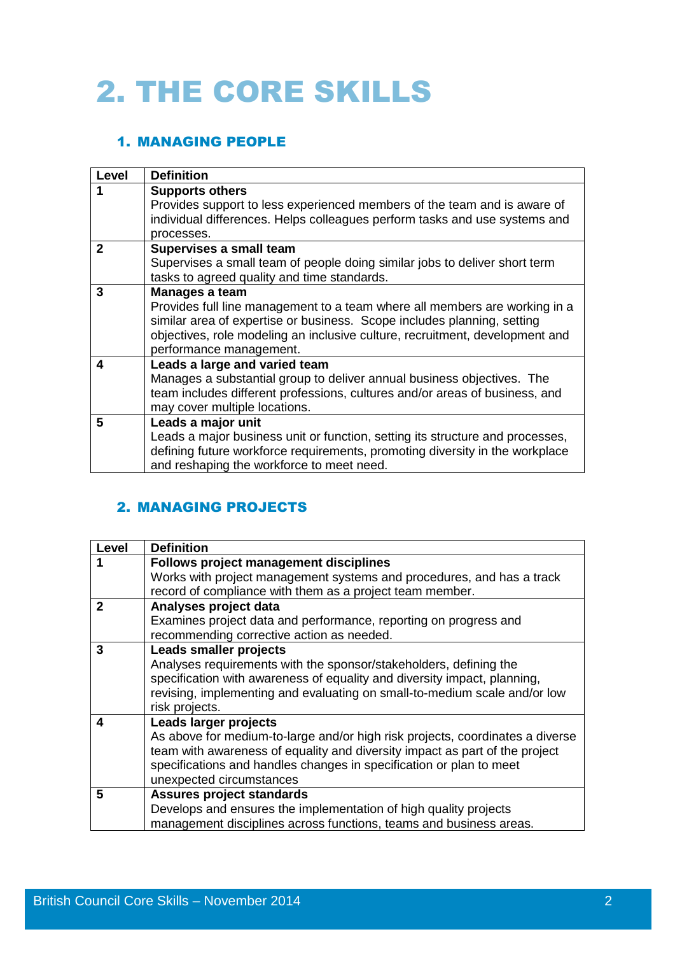# 2. THE CORE SKILLS

### 1. MANAGING PEOPLE

| Level          | <b>Definition</b>                                                                                                                                                                                                                                                                  |
|----------------|------------------------------------------------------------------------------------------------------------------------------------------------------------------------------------------------------------------------------------------------------------------------------------|
|                | <b>Supports others</b><br>Provides support to less experienced members of the team and is aware of<br>individual differences. Helps colleagues perform tasks and use systems and                                                                                                   |
|                | processes.                                                                                                                                                                                                                                                                         |
| $\mathfrak{p}$ | Supervises a small team<br>Supervises a small team of people doing similar jobs to deliver short term<br>tasks to agreed quality and time standards.                                                                                                                               |
| 3              | Manages a team<br>Provides full line management to a team where all members are working in a<br>similar area of expertise or business. Scope includes planning, setting<br>objectives, role modeling an inclusive culture, recruitment, development and<br>performance management. |
| 4              | Leads a large and varied team<br>Manages a substantial group to deliver annual business objectives. The<br>team includes different professions, cultures and/or areas of business, and<br>may cover multiple locations.                                                            |
| 5              | Leads a major unit<br>Leads a major business unit or function, setting its structure and processes,<br>defining future workforce requirements, promoting diversity in the workplace<br>and reshaping the workforce to meet need.                                                   |

### 2. MANAGING PROJECTS

| <b>Level</b> | <b>Definition</b>                                                             |
|--------------|-------------------------------------------------------------------------------|
|              | <b>Follows project management disciplines</b>                                 |
|              | Works with project management systems and procedures, and has a track         |
|              | record of compliance with them as a project team member.                      |
| $\mathbf 2$  | Analyses project data                                                         |
|              | Examines project data and performance, reporting on progress and              |
|              | recommending corrective action as needed.                                     |
| 3            | <b>Leads smaller projects</b>                                                 |
|              | Analyses requirements with the sponsor/stakeholders, defining the             |
|              | specification with awareness of equality and diversity impact, planning,      |
|              | revising, implementing and evaluating on small-to-medium scale and/or low     |
|              | risk projects.                                                                |
| 4            | Leads larger projects                                                         |
|              | As above for medium-to-large and/or high risk projects, coordinates a diverse |
|              | team with awareness of equality and diversity impact as part of the project   |
|              | specifications and handles changes in specification or plan to meet           |
|              | unexpected circumstances                                                      |
| 5            | Assures project standards                                                     |
|              | Develops and ensures the implementation of high quality projects              |
|              | management disciplines across functions, teams and business areas.            |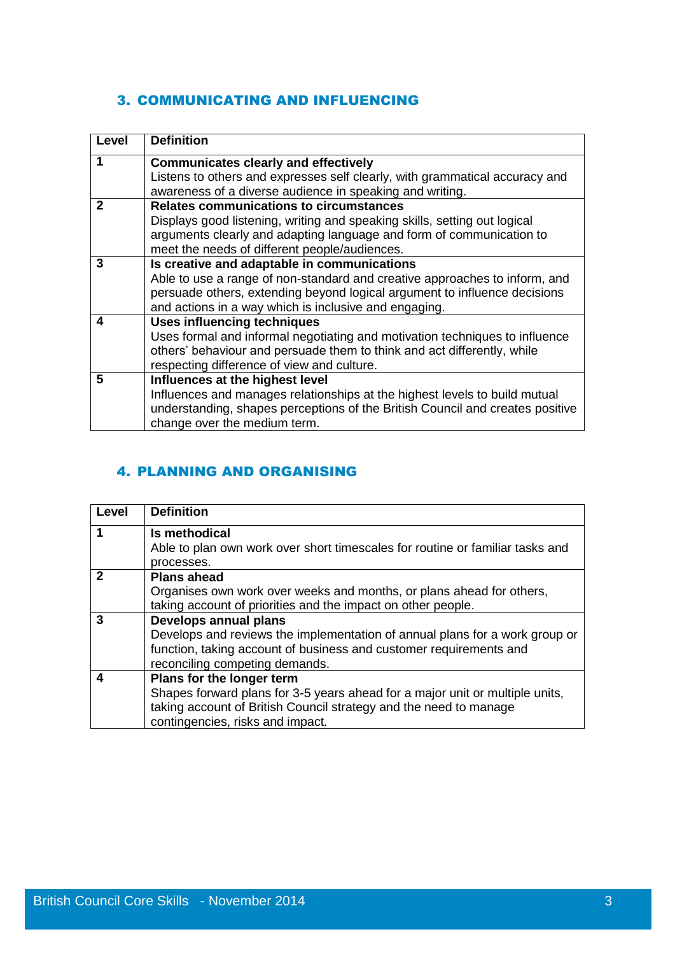#### 3. COMMUNICATING AND INFLUENCING

| Level       | <b>Definition</b>                                                                                                                                                                                                                                               |
|-------------|-----------------------------------------------------------------------------------------------------------------------------------------------------------------------------------------------------------------------------------------------------------------|
| 1           | <b>Communicates clearly and effectively</b><br>Listens to others and expresses self clearly, with grammatical accuracy and                                                                                                                                      |
|             | awareness of a diverse audience in speaking and writing.                                                                                                                                                                                                        |
| $\mathbf 2$ | <b>Relates communications to circumstances</b><br>Displays good listening, writing and speaking skills, setting out logical<br>arguments clearly and adapting language and form of communication to<br>meet the needs of different people/audiences.            |
| 3           | Is creative and adaptable in communications<br>Able to use a range of non-standard and creative approaches to inform, and<br>persuade others, extending beyond logical argument to influence decisions<br>and actions in a way which is inclusive and engaging. |
| 4           | <b>Uses influencing techniques</b><br>Uses formal and informal negotiating and motivation techniques to influence<br>others' behaviour and persuade them to think and act differently, while<br>respecting difference of view and culture.                      |
| 5           | Influences at the highest level<br>Influences and manages relationships at the highest levels to build mutual<br>understanding, shapes perceptions of the British Council and creates positive<br>change over the medium term.                                  |

## 4. PLANNING AND ORGANISING

| Level       | <b>Definition</b>                                                             |
|-------------|-------------------------------------------------------------------------------|
|             | Is methodical                                                                 |
|             | Able to plan own work over short timescales for routine or familiar tasks and |
|             | processes.                                                                    |
| $\mathbf 2$ | <b>Plans ahead</b>                                                            |
|             | Organises own work over weeks and months, or plans ahead for others,          |
|             | taking account of priorities and the impact on other people.                  |
| 3           | Develops annual plans                                                         |
|             | Develops and reviews the implementation of annual plans for a work group or   |
|             | function, taking account of business and customer requirements and            |
|             | reconciling competing demands.                                                |
| 4           | Plans for the longer term                                                     |
|             | Shapes forward plans for 3-5 years ahead for a major unit or multiple units,  |
|             | taking account of British Council strategy and the need to manage             |
|             | contingencies, risks and impact.                                              |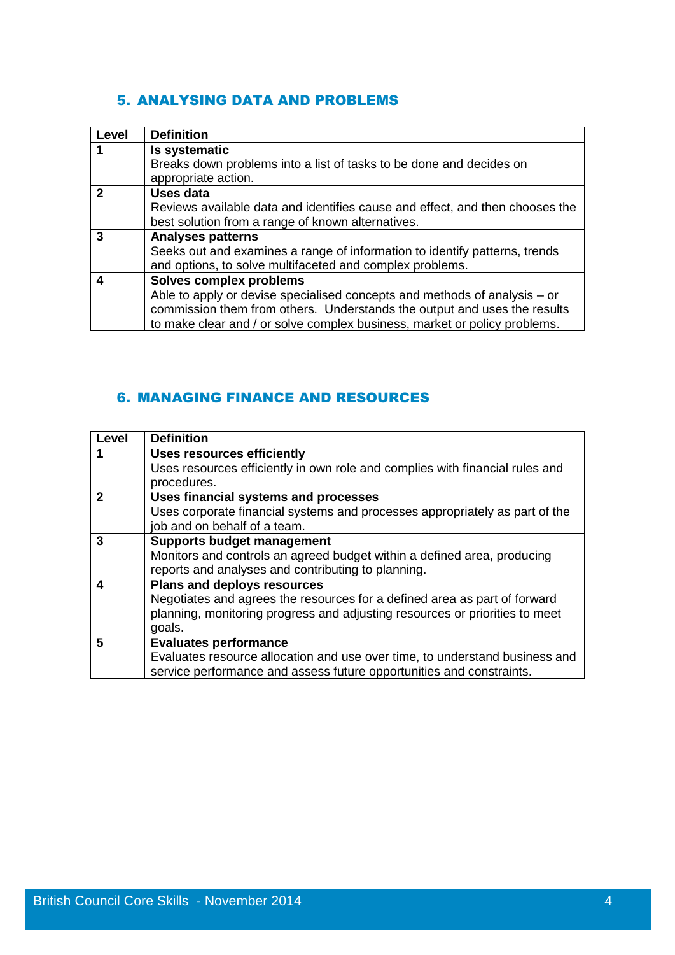#### 5. ANALYSING DATA AND PROBLEMS

| Level        | <b>Definition</b>                                                            |
|--------------|------------------------------------------------------------------------------|
|              | Is systematic                                                                |
|              | Breaks down problems into a list of tasks to be done and decides on          |
|              | appropriate action.                                                          |
| $\mathbf{2}$ | <b>Uses data</b>                                                             |
|              | Reviews available data and identifies cause and effect, and then chooses the |
|              | best solution from a range of known alternatives.                            |
| 3            | <b>Analyses patterns</b>                                                     |
|              | Seeks out and examines a range of information to identify patterns, trends   |
|              | and options, to solve multifaceted and complex problems.                     |
| 4            | Solves complex problems                                                      |
|              | Able to apply or devise specialised concepts and methods of analysis – or    |
|              | commission them from others. Understands the output and uses the results     |
|              | to make clear and / or solve complex business, market or policy problems.    |

# 6. MANAGING FINANCE AND RESOURCES

| <b>Level</b> | <b>Definition</b>                                                            |
|--------------|------------------------------------------------------------------------------|
|              | <b>Uses resources efficiently</b>                                            |
|              | Uses resources efficiently in own role and complies with financial rules and |
|              | procedures.                                                                  |
| 2            | Uses financial systems and processes                                         |
|              | Uses corporate financial systems and processes appropriately as part of the  |
|              | job and on behalf of a team.                                                 |
| 3            | <b>Supports budget management</b>                                            |
|              | Monitors and controls an agreed budget within a defined area, producing      |
|              | reports and analyses and contributing to planning.                           |
| 4            | <b>Plans and deploys resources</b>                                           |
|              | Negotiates and agrees the resources for a defined area as part of forward    |
|              | planning, monitoring progress and adjusting resources or priorities to meet  |
|              | goals.                                                                       |
| 5            | <b>Evaluates performance</b>                                                 |
|              | Evaluates resource allocation and use over time, to understand business and  |
|              | service performance and assess future opportunities and constraints.         |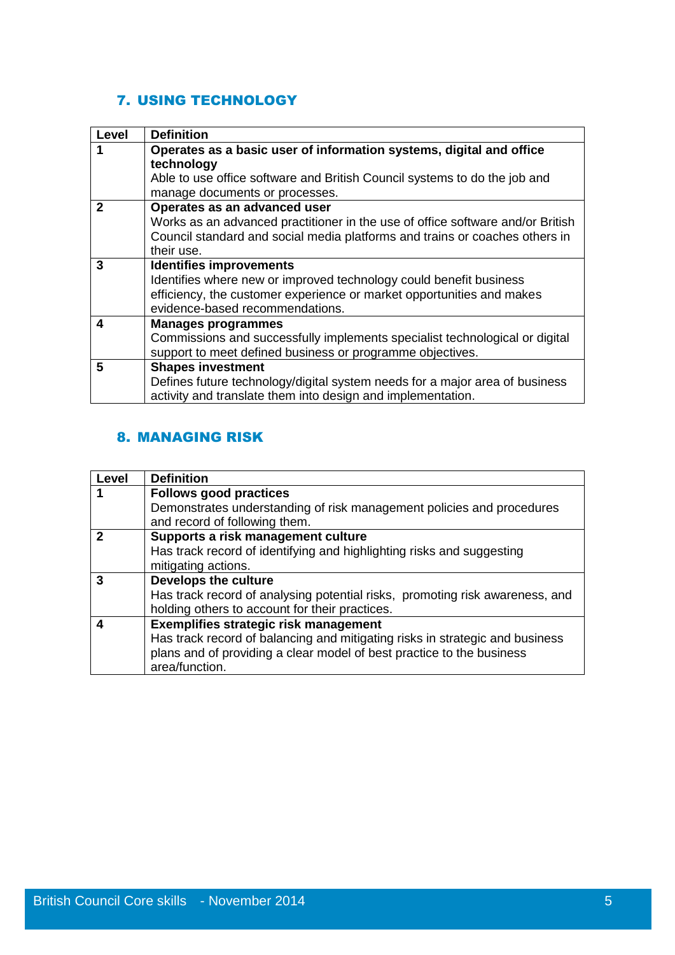## 7. USING TECHNOLOGY

| Level       | <b>Definition</b>                                                              |
|-------------|--------------------------------------------------------------------------------|
|             | Operates as a basic user of information systems, digital and office            |
|             | technology                                                                     |
|             | Able to use office software and British Council systems to do the job and      |
|             | manage documents or processes.                                                 |
| $\mathbf 2$ | Operates as an advanced user                                                   |
|             | Works as an advanced practitioner in the use of office software and/or British |
|             | Council standard and social media platforms and trains or coaches others in    |
|             | their use.                                                                     |
| 3           | <b>Identifies improvements</b>                                                 |
|             | Identifies where new or improved technology could benefit business             |
|             | efficiency, the customer experience or market opportunities and makes          |
|             | evidence-based recommendations.                                                |
| 4           | <b>Manages programmes</b>                                                      |
|             | Commissions and successfully implements specialist technological or digital    |
|             | support to meet defined business or programme objectives.                      |
| 5           | <b>Shapes investment</b>                                                       |
|             | Defines future technology/digital system needs for a major area of business    |
|             | activity and translate them into design and implementation.                    |

### 8. MANAGING RISK

| Level | <b>Definition</b>                                                            |
|-------|------------------------------------------------------------------------------|
| 1     | <b>Follows good practices</b>                                                |
|       | Demonstrates understanding of risk management policies and procedures        |
|       | and record of following them.                                                |
| 2     | Supports a risk management culture                                           |
|       | Has track record of identifying and highlighting risks and suggesting        |
|       | mitigating actions.                                                          |
| 3     | Develops the culture                                                         |
|       | Has track record of analysing potential risks, promoting risk awareness, and |
|       | holding others to account for their practices.                               |
|       | Exemplifies strategic risk management                                        |
|       | Has track record of balancing and mitigating risks in strategic and business |
|       | plans and of providing a clear model of best practice to the business        |
|       | area/function.                                                               |